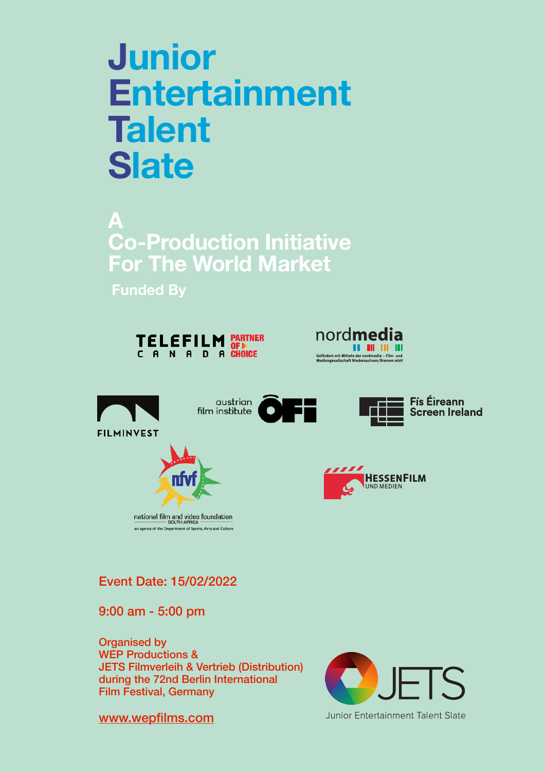# **Junior Entertainment Talent Slate**

**A Co-Production Initiative For The World Market** 

**Funded By**





**Fís Éireann** 

**Screen Ireland** 





Event Date: 15/02/2022

an agency of the Department of Sports, Arts and Culture

9:00 am - 5:00 pm

Organised by WEP Productions & JETS Filmverleih & Vertrieb (Distribution) during the 72nd Berlin International Film Festival, Germany



Junior Entertainment Talent Slate

[www.wepfilms.com](http://www.wepfilms.com)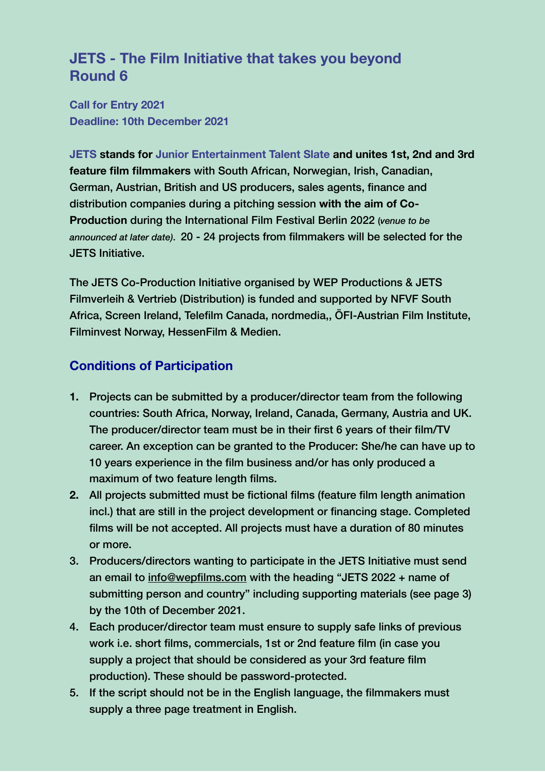## **JETS - The Film Initiative that takes you beyond Round 6**

**Call for Entry 2021 Deadline: 10th December 2021** 

**JETS stands for Junior Entertainment Talent Slate and unites 1st, 2nd and 3rd feature film filmmakers** with South African, Norwegian, Irish, Canadian, German, Austrian, British and US producers, sales agents, finance and distribution companies during a pitching session **with the aim of Co-Production** during the International Film Festival Berlin 2022 (*venue to be announced at later date)*. 20 - 24 projects from filmmakers will be selected for the JETS Initiative.

The JETS Co-Production Initiative organised by WEP Productions & JETS Filmverleih & Vertrieb (Distribution) is funded and supported by NFVF South Africa, Screen Ireland, Telefilm Canada, nordmedia,, ÖFI-Austrian Film Institute, Filminvest Norway, HessenFilm & Medien.

### **Conditions of Participation**

- **1.** Projects can be submitted by a producer/director team from the following countries: South Africa, Norway, Ireland, Canada, Germany, Austria and UK. The producer/director team must be in their first 6 years of their film/TV career. An exception can be granted to the Producer: She/he can have up to 10 years experience in the film business and/or has only produced a maximum of two feature length films.
- **2.** All projects submitted must be fictional films (feature film length animation incl.) that are still in the project development or financing stage. Completed films will be not accepted. All projects must have a duration of 80 minutes or more.
- 3. Producers/directors wanting to participate in the JETS Initiative must send an email to [info@wepfilms.com](mailto:info@wepfilms.com) with the heading "JETS 2022 + name of submitting person and country" including supporting materials (see page 3) by the 10th of December 2021.
- 4. Each producer/director team must ensure to supply safe links of previous work i.e. short films, commercials, 1st or 2nd feature film (in case you supply a project that should be considered as your 3rd feature film production). These should be password-protected.
- 5. If the script should not be in the English language, the filmmakers must supply a three page treatment in English.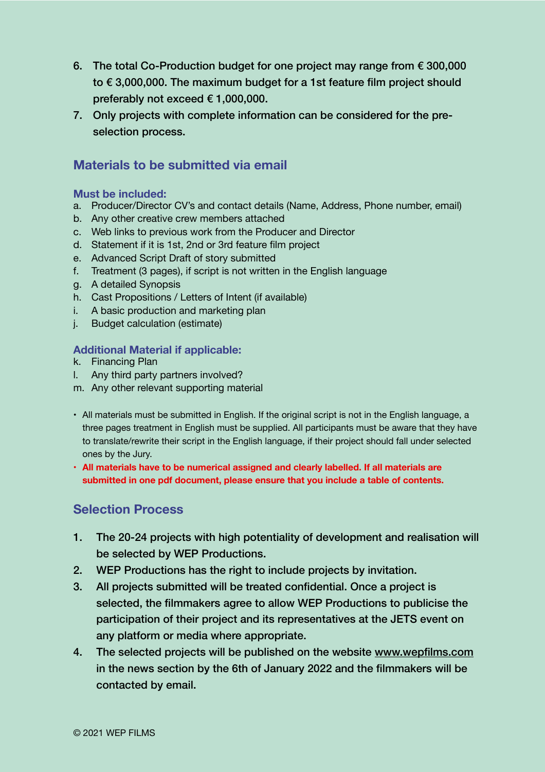- 6. The total Co-Production budget for one project may range from  $\epsilon$  300,000 to € 3,000,000. The maximum budget for a 1st feature film project should preferably not exceed € 1,000,000.
- 7. Only projects with complete information can be considered for the preselection process.

## **Materials to be submitted via email**

#### **Must be included:**

- a. Producer/Director CV's and contact details (Name, Address, Phone number, email)
- b. Any other creative crew members attached
- c. Web links to previous work from the Producer and Director
- d. Statement if it is 1st, 2nd or 3rd feature film project
- e. Advanced Script Draft of story submitted
- f. Treatment (3 pages), if script is not written in the English language
- g. A detailed Synopsis
- h. Cast Propositions / Letters of Intent (if available)
- i. A basic production and marketing plan
- j. Budget calculation (estimate)

#### **Additional Material if applicable:**

- k. Financing Plan
- l. Any third party partners involved?
- m. Any other relevant supporting material
- All materials must be submitted in English. If the original script is not in the English language, a three pages treatment in English must be supplied. All participants must be aware that they have to translate/rewrite their script in the English language, if their project should fall under selected ones by the Jury.
- **• All materials have to be numerical assigned and clearly labelled. If all materials are submitted in one pdf document, please ensure that you include a table of contents.**

#### **Selection Process**

- 1. The 20-24 projects with high potentiality of development and realisation will be selected by WEP Productions.
- 2. WEP Productions has the right to include projects by invitation.
- 3. All projects submitted will be treated confidential. Once a project is selected, the filmmakers agree to allow WEP Productions to publicise the participation of their project and its representatives at the JETS event on any platform or media where appropriate.
- 4. The selected projects will be published on the website [www.wepfilms.com](http://www.wepfilms.com)  in the news section by the 6th of January 2022 and the filmmakers will be contacted by email.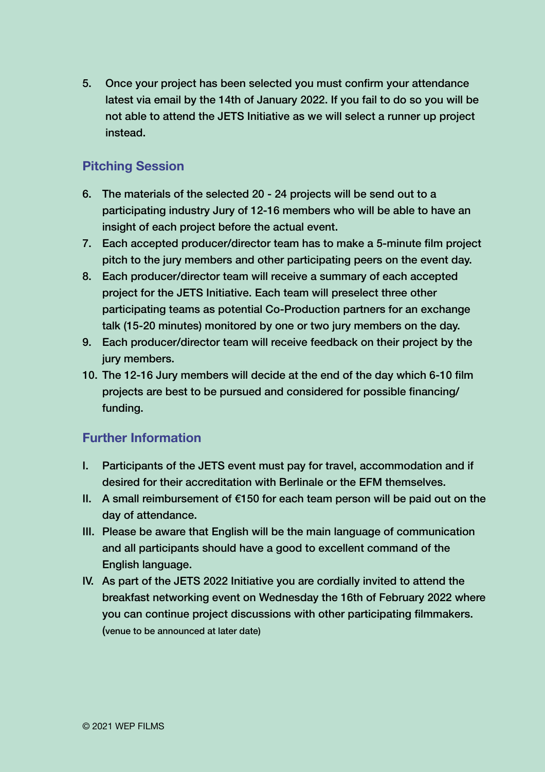5. Once your project has been selected you must confirm your attendance latest via email by the 14th of January 2022. If you fail to do so you will be not able to attend the JETS Initiative as we will select a runner up project instead.

#### **Pitching Session**

- 6. The materials of the selected 20 24 projects will be send out to a participating industry Jury of 12-16 members who will be able to have an insight of each project before the actual event.
- 7. Each accepted producer/director team has to make a 5-minute film project pitch to the jury members and other participating peers on the event day.
- 8. Each producer/director team will receive a summary of each accepted project for the JETS Initiative. Each team will preselect three other participating teams as potential Co-Production partners for an exchange talk (15-20 minutes) monitored by one or two jury members on the day.
- 9. Each producer/director team will receive feedback on their project by the jury members.
- 10. The 12-16 Jury members will decide at the end of the day which 6-10 film projects are best to be pursued and considered for possible financing/ funding.

#### **Further Information**

- I. Participants of the JETS event must pay for travel, accommodation and if desired for their accreditation with Berlinale or the EFM themselves.
- II. A small reimbursement of  $€150$  for each team person will be paid out on the day of attendance.
- III. Please be aware that English will be the main language of communication and all participants should have a good to excellent command of the English language.
- IV. As part of the JETS 2022 Initiative you are cordially invited to attend the breakfast networking event on Wednesday the 16th of February 2022 where you can continue project discussions with other participating filmmakers. (venue to be announced at later date)